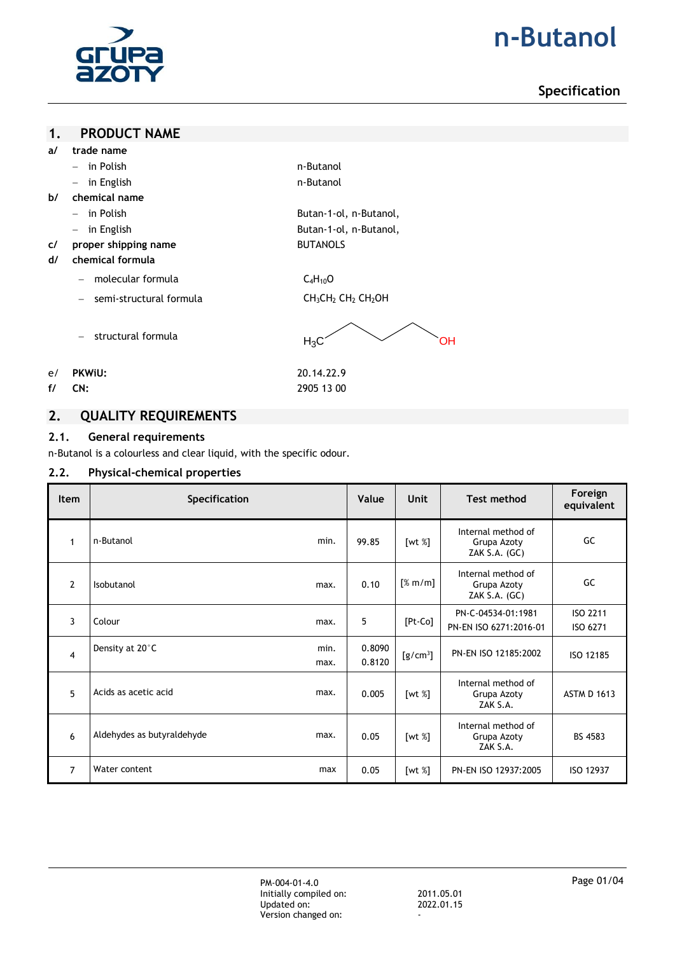

# **n-Butanol**

# **Specification**

### **1. PRODUCT NAME**

- **a/ trade name**
	- in Polish and the set of the set of the set of the set of the set of the set of the set of the set of the set of the set of the set of the set of the set of the set of the set of the set of the set of the set of the set
	- in English and the state of the state of the n-Butanol
- **b/ chemical name**
	- in Polish Butan-1-ol, n-Butanol,
	- in English Butan-1-ol, n-Butanol,
- **c/ proper shipping name** BUTANOLS
- **d/ chemical formula**
	- $-$  molecular formula  $C_4H_{10}O$
	- semi-structural formula CH<sub>3</sub>CH<sub>2</sub> CH<sub>2</sub> CH<sub>2</sub>OH

- structural formula

 $H_3C$  OH

- e/ **PKWiU:** 20.14.22.9
- **f/ CN:** 2905 13 00

# **2. QUALITY REQUIREMENTS**

## **2.1. General requirements**

n-Butanol is a colourless and clear liquid, with the specific odour.

## **2.2. Physical-chemical properties**

| <b>Item</b>    | Specification                      | Value            | Unit       | <b>Test method</b>                                   | Foreign<br>equivalent |
|----------------|------------------------------------|------------------|------------|------------------------------------------------------|-----------------------|
| $\mathbf 1$    | n-Butanol<br>min.                  | 99.85            | [wt $%$ ]  | Internal method of<br>Grupa Azoty<br>ZAK $S.A.$ (GC) | GC                    |
| $\overline{2}$ | Isobutanol<br>max.                 | 0.10             | [% m/m]    | Internal method of<br>Grupa Azoty<br>ZAK $S.A.$ (GC) | GC                    |
| 3              | Colour<br>max.                     | 5                | [Pt-Co]    | PN-C-04534-01:1981<br>PN-EN ISO 6271:2016-01         | ISO 2211<br>ISO 6271  |
| $\overline{4}$ | Density at 20°C<br>min.<br>max.    | 0.8090<br>0.8120 | $[g/cm^3]$ | PN-EN ISO 12185:2002                                 | ISO 12185             |
| 5              | Acids as acetic acid<br>max.       | 0.005            | [wt $%$ ]  | Internal method of<br>Grupa Azoty<br>ZAK S.A.        | <b>ASTM D 1613</b>    |
| 6              | Aldehydes as butyraldehyde<br>max. | 0.05             | [wt %]     | Internal method of<br>Grupa Azoty<br>ZAK S.A.        | BS 4583               |
| $\overline{7}$ | Water content<br>max               | 0.05             | [wt $%$ ]  | PN-EN ISO 12937:2005                                 | ISO 12937             |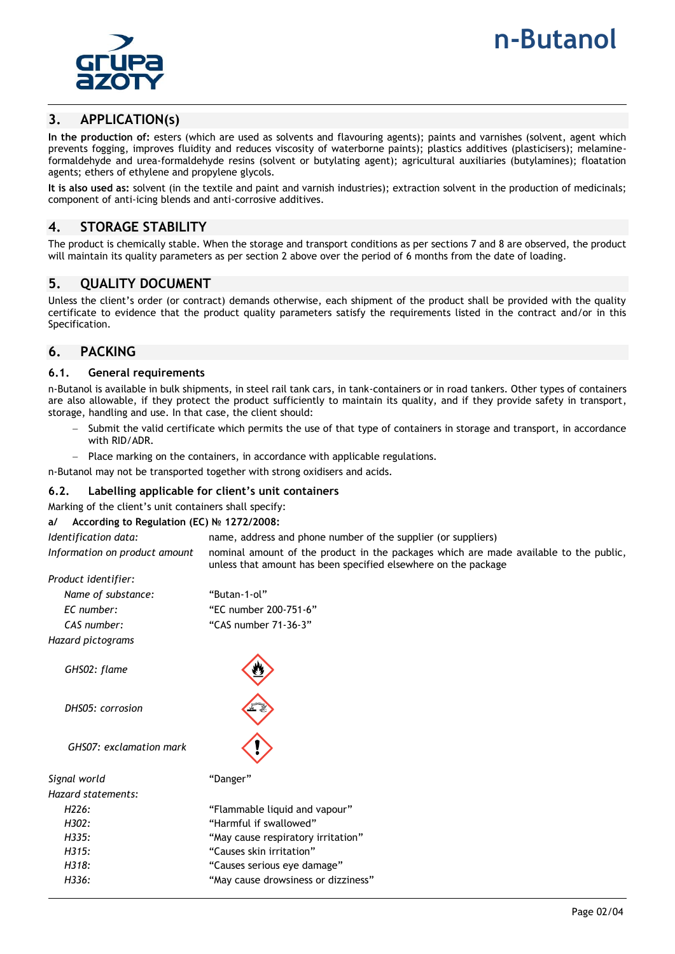



## **3. APPLICATION(s)**

**In the production of:** esters (which are used as solvents and flavouring agents); paints and varnishes (solvent, agent which prevents fogging, improves fluidity and reduces viscosity of waterborne paints); plastics additives (plasticisers); melamineformaldehyde and urea-formaldehyde resins (solvent or butylating agent); agricultural auxiliaries (butylamines); floatation agents; ethers of ethylene and propylene glycols.

**It is also used as:** solvent (in the textile and paint and varnish industries); extraction solvent in the production of medicinals; component of anti-icing blends and anti-corrosive additives.

## **4. STORAGE STABILITY**

The product is chemically stable. When the storage and transport conditions as per sections 7 and 8 are observed, the product will maintain its quality parameters as per section 2 above over the period of 6 months from the date of loading.

## **5. QUALITY DOCUMENT**

Unless the client's order (or contract) demands otherwise, each shipment of the product shall be provided with the quality certificate to evidence that the product quality parameters satisfy the requirements listed in the contract and/or in this Specification.

## **6. PACKING**

### **6.1. General requirements**

n-Butanol is available in bulk shipments, in steel rail tank cars, in tank-containers or in road tankers. Other types of containers are also allowable, if they protect the product sufficiently to maintain its quality, and if they provide safety in transport, storage, handling and use. In that case, the client should:

- Submit the valid certificate which permits the use of that type of containers in storage and transport, in accordance with RID/ADR.
- Place marking on the containers, in accordance with applicable regulations.

n-Butanol may not be transported together with strong oxidisers and acids.

### **6.2. Labelling applicable for client's unit containers**

Marking of the client's unit containers shall specify:

### **a/ According to Regulation (EC) № 1272/2008:**

| Identification data:          | name, address and phone number of the supplier (or suppliers)                         |
|-------------------------------|---------------------------------------------------------------------------------------|
| Information on product amount | nominal amount of the product in the packages which are made available to the public, |
|                               | unless that amount has been specified elsewhere on the package                        |

| Product identifier:     |                                     |  |  |  |  |
|-------------------------|-------------------------------------|--|--|--|--|
| Name of substance:      | "Butan-1-ol"                        |  |  |  |  |
| EC number:              | "EC number 200-751-6"               |  |  |  |  |
| CAS number:             | "CAS number 71-36-3"                |  |  |  |  |
| Hazard pictograms       |                                     |  |  |  |  |
| GHS02: flame            |                                     |  |  |  |  |
| DHS05: corrosion        |                                     |  |  |  |  |
| GHS07: exclamation mark |                                     |  |  |  |  |
| Signal world            | "Danger"                            |  |  |  |  |
| Hazard statements:      |                                     |  |  |  |  |
| H <sub>226</sub> :      | "Flammable liquid and vapour"       |  |  |  |  |
| H302:                   | "Harmful if swallowed"              |  |  |  |  |
| H.335:                  | "May cause respiratory irritation"  |  |  |  |  |
| H315:                   | "Causes skin irritation"            |  |  |  |  |
| H.318:                  | "Causes serious eye damage"         |  |  |  |  |
| H336:                   | "May cause drowsiness or dizziness" |  |  |  |  |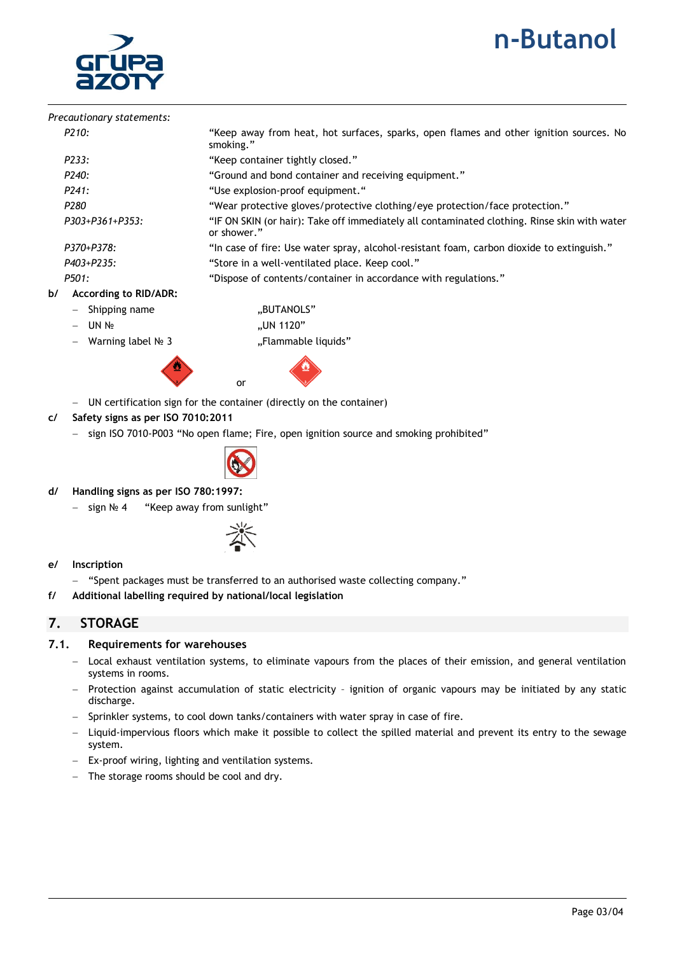# **n-Butanol**



|    | Precautionary statements:    |                                                                                                             |
|----|------------------------------|-------------------------------------------------------------------------------------------------------------|
|    | P210:                        | "Keep away from heat, hot surfaces, sparks, open flames and other ignition sources. No<br>smoking."         |
|    | P233:                        | "Keep container tightly closed."                                                                            |
|    | P240:                        | "Ground and bond container and receiving equipment."                                                        |
|    | P241:                        | "Use explosion-proof equipment."                                                                            |
|    | P280                         | "Wear protective gloves/protective clothing/eye protection/face protection."                                |
|    | P303+P361+P353:              | "IF ON SKIN (or hair): Take off immediately all contaminated clothing. Rinse skin with water<br>or shower." |
|    | P370+P378:                   | "In case of fire: Use water spray, alcohol-resistant foam, carbon dioxide to extinguish."                   |
|    | P403+P235:                   | "Store in a well-ventilated place. Keep cool."                                                              |
|    | P501:                        | "Dispose of contents/container in accordance with regulations."                                             |
| ь/ | <b>According to RID/ADR:</b> |                                                                                                             |
|    | Shipping name                | "BUTANOLS"                                                                                                  |
|    | $-$ UN No                    | "UN 1120"                                                                                                   |

- 
- 

Warning label № 3 "Tlammable liquids"



- UN certification sign for the container (directly on the container)
- **c/ Safety signs as per ISO 7010:2011**
	- sign ISO 7010-P003 "No open flame; Fire, open ignition source and smoking prohibited"



- **d/ Handling signs as per ISO 780:1997:**
	- sign № 4 "Keep away from sunlight"



- **e/ Inscription**
	- "Spent packages must be transferred to an authorised waste collecting company."
- **f/ Additional labelling required by national/local legislation**

## **7. STORAGE**

## **7.1. Requirements for warehouses**

- Local exhaust ventilation systems, to eliminate vapours from the places of their emission, and general ventilation systems in rooms.
- Protection against accumulation of static electricity ignition of organic vapours may be initiated by any static discharge.
- Sprinkler systems, to cool down tanks/containers with water spray in case of fire.
- Liquid-impervious floors which make it possible to collect the spilled material and prevent its entry to the sewage system.
- Ex-proof wiring, lighting and ventilation systems.
- The storage rooms should be cool and dry.